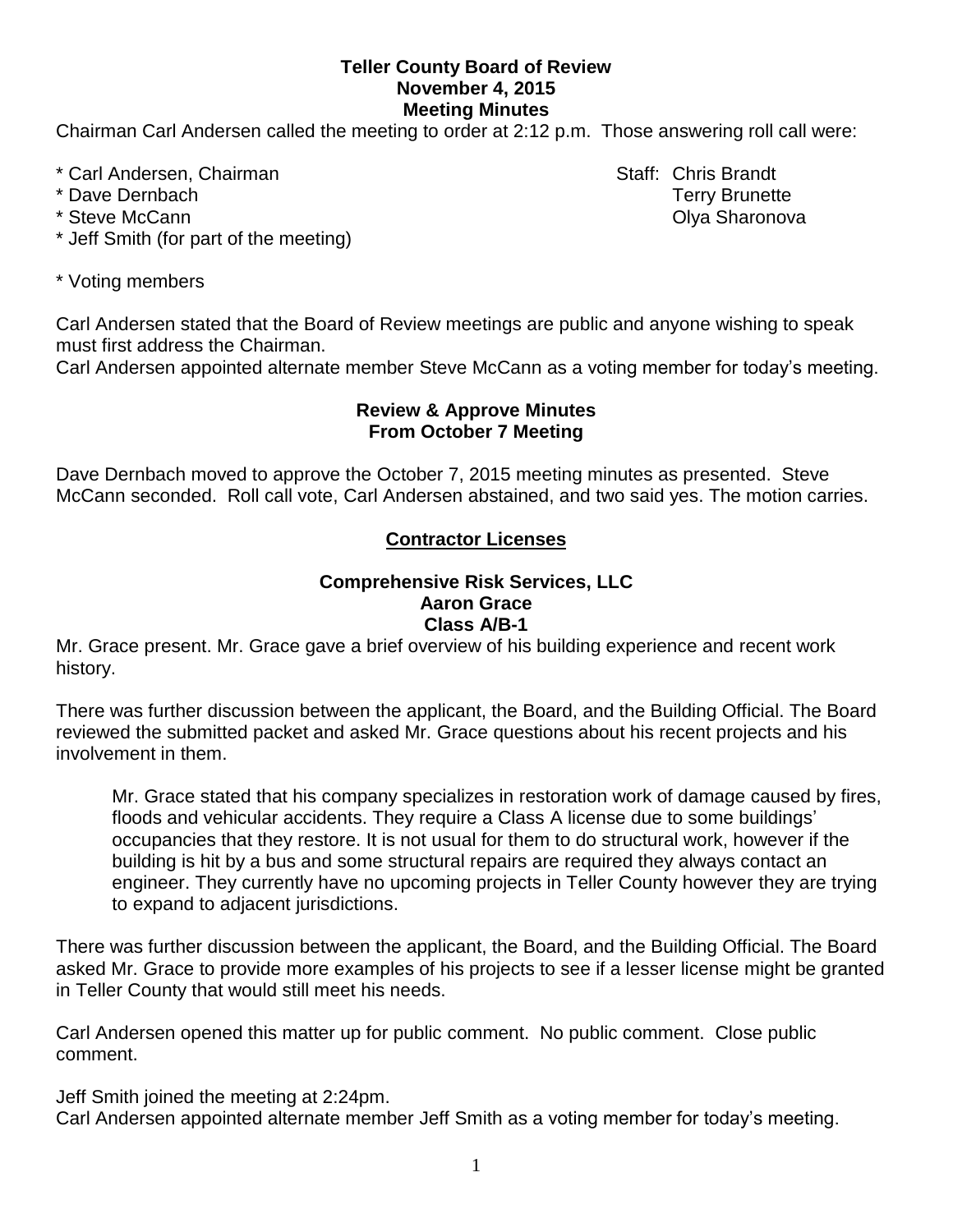## **Teller County Board of Review November 4, 2015 Meeting Minutes**

Chairman Carl Andersen called the meeting to order at 2:12 p.m. Those answering roll call were:

- \* Carl Andersen, Chairman Staff: Chris Brandt
- 
- 
- \* Jeff Smith (for part of the meeting)
- \* Voting members

Carl Andersen stated that the Board of Review meetings are public and anyone wishing to speak must first address the Chairman.

Carl Andersen appointed alternate member Steve McCann as a voting member for today's meeting.

# **Review & Approve Minutes From October 7 Meeting**

Dave Dernbach moved to approve the October 7, 2015 meeting minutes as presented. Steve McCann seconded.Roll call vote, Carl Andersen abstained, and two said yes. The motion carries.

# **Contractor Licenses**

## **Comprehensive Risk Services, LLC Aaron Grace Class A/B-1**

Mr. Grace present. Mr. Grace gave a brief overview of his building experience and recent work history.

There was further discussion between the applicant, the Board, and the Building Official. The Board reviewed the submitted packet and asked Mr. Grace questions about his recent projects and his involvement in them.

Mr. Grace stated that his company specializes in restoration work of damage caused by fires, floods and vehicular accidents. They require a Class A license due to some buildings' occupancies that they restore. It is not usual for them to do structural work, however if the building is hit by a bus and some structural repairs are required they always contact an engineer. They currently have no upcoming projects in Teller County however they are trying to expand to adjacent jurisdictions.

There was further discussion between the applicant, the Board, and the Building Official. The Board asked Mr. Grace to provide more examples of his projects to see if a lesser license might be granted in Teller County that would still meet his needs.

Carl Andersen opened this matter up for public comment. No public comment. Close public comment.

Jeff Smith joined the meeting at 2:24pm.

Carl Andersen appointed alternate member Jeff Smith as a voting member for today's meeting.

\* Dave Dernbach Terry Brunette \* Steve McCann **Olya Sharonova Community Community Community Community Community Community Community Community Community Community Community Community Community Community Community Community**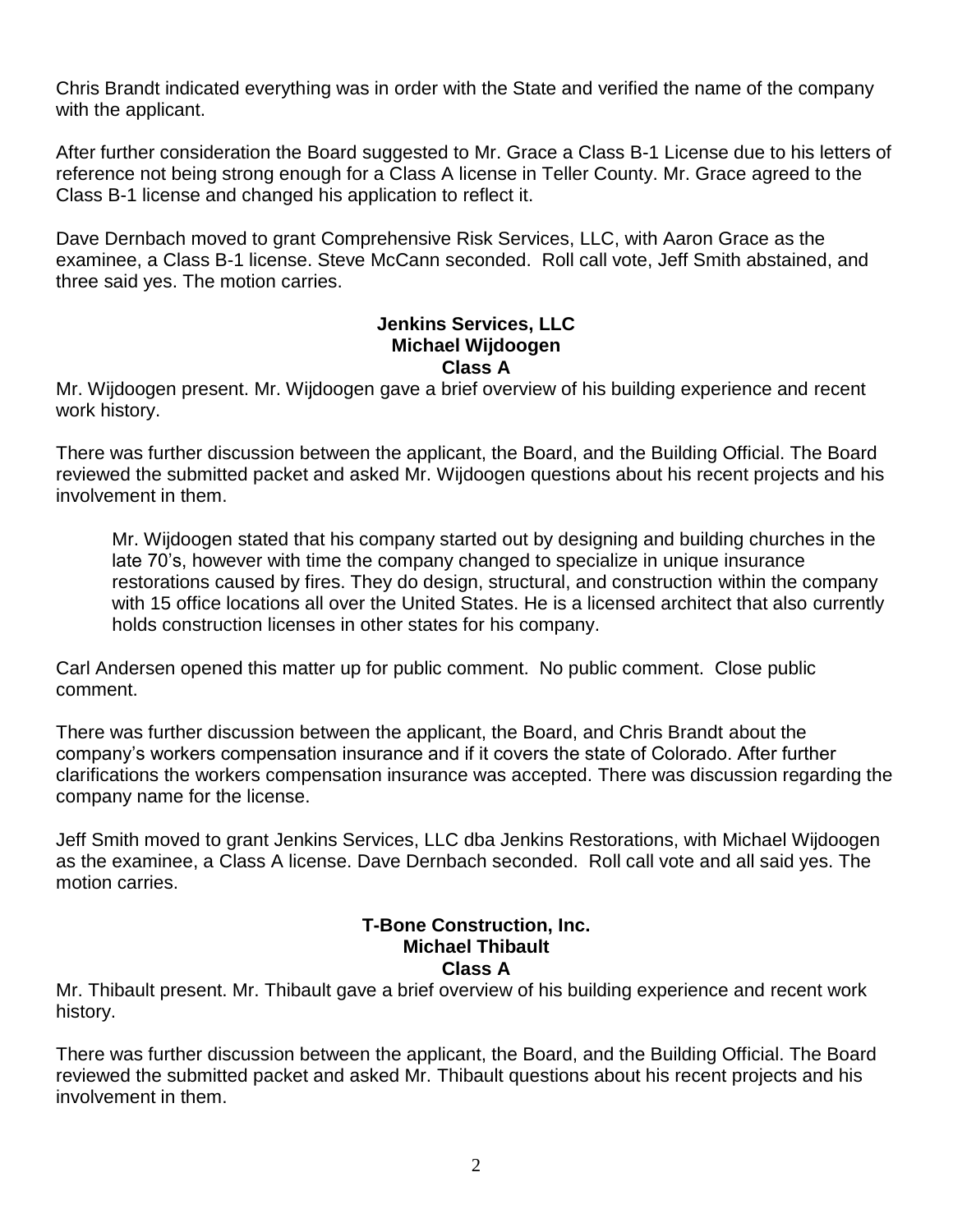Chris Brandt indicated everything was in order with the State and verified the name of the company with the applicant.

After further consideration the Board suggested to Mr. Grace a Class B-1 License due to his letters of reference not being strong enough for a Class A license in Teller County. Mr. Grace agreed to the Class B-1 license and changed his application to reflect it.

Dave Dernbach moved to grant Comprehensive Risk Services, LLC, with Aaron Grace as the examinee, a Class B-1 license. Steve McCann seconded. Roll call vote, Jeff Smith abstained, and three said yes. The motion carries.

#### **Jenkins Services, LLC Michael Wijdoogen Class A**

Mr. Wijdoogen present. Mr. Wijdoogen gave a brief overview of his building experience and recent work history.

There was further discussion between the applicant, the Board, and the Building Official. The Board reviewed the submitted packet and asked Mr. Wijdoogen questions about his recent projects and his involvement in them.

Mr. Wijdoogen stated that his company started out by designing and building churches in the late 70's, however with time the company changed to specialize in unique insurance restorations caused by fires. They do design, structural, and construction within the company with 15 office locations all over the United States. He is a licensed architect that also currently holds construction licenses in other states for his company.

Carl Andersen opened this matter up for public comment. No public comment. Close public comment.

There was further discussion between the applicant, the Board, and Chris Brandt about the company's workers compensation insurance and if it covers the state of Colorado. After further clarifications the workers compensation insurance was accepted. There was discussion regarding the company name for the license.

Jeff Smith moved to grant Jenkins Services, LLC dba Jenkins Restorations, with Michael Wijdoogen as the examinee, a Class A license. Dave Dernbach seconded. Roll call vote and all said yes. The motion carries.

## **T-Bone Construction, Inc. Michael Thibault Class A**

Mr. Thibault present. Mr. Thibault gave a brief overview of his building experience and recent work history.

There was further discussion between the applicant, the Board, and the Building Official. The Board reviewed the submitted packet and asked Mr. Thibault questions about his recent projects and his involvement in them.